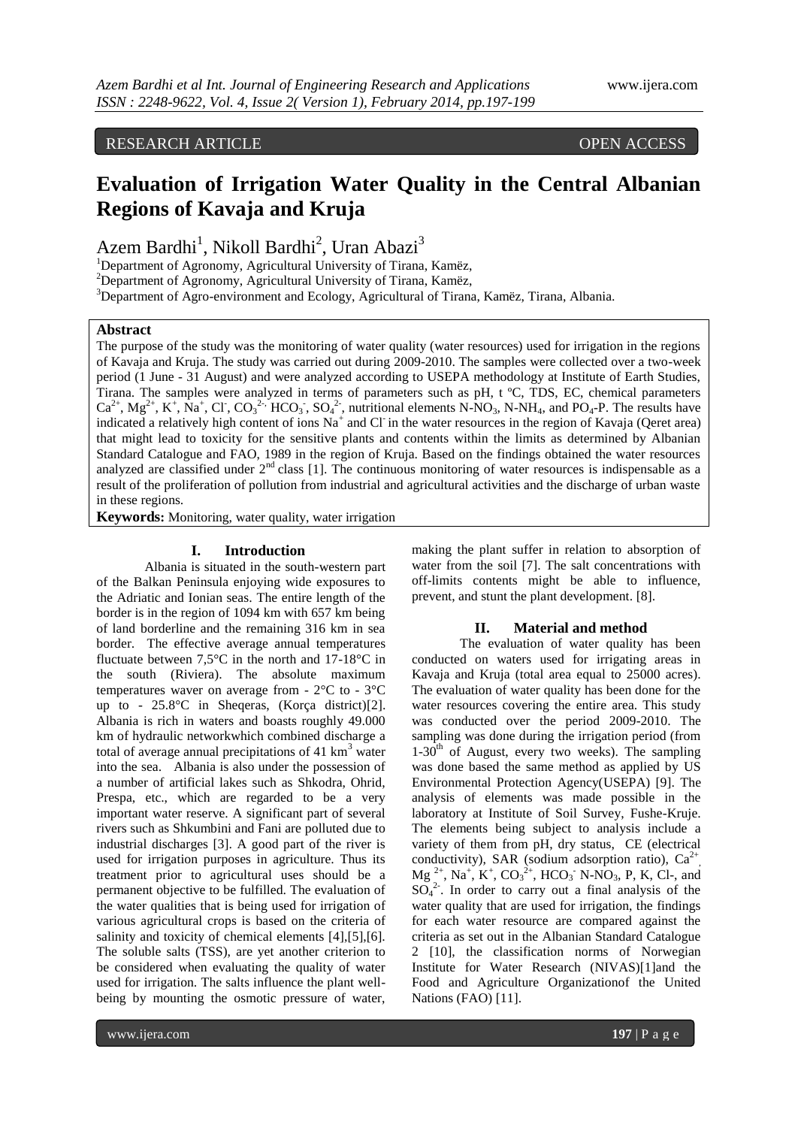# RESEARCH ARTICLE OPEN ACCESS

# **Evaluation of Irrigation Water Quality in the Central Albanian Regions of Kavaja and Kruja**

Azem Bardhi<sup>1</sup>, Nikoll Bardhi<sup>2</sup>, Uran Abazi<sup>3</sup>

<sup>1</sup>Department of Agronomy, Agricultural University of Tirana, Kamëz,

<sup>2</sup>Department of Agronomy, Agricultural University of Tirana, Kamëz,

<sup>3</sup>Department of Agro-environment and Ecology, Agricultural of Tirana, Kamëz, Tirana, Albania.

## **Abstract**

The purpose of the study was the monitoring of water quality (water resources) used for irrigation in the regions of Kavaja and Kruja. The study was carried out during 2009-2010. The samples were collected over a two-week period (1 June - 31 August) and were analyzed according to USEPA methodology at Institute of Earth Studies, Tirana. The samples were analyzed in terms of parameters such as pH, t ºC, TDS, EC, chemical parameters  $Ca^{2+}$ ,  $Mg^{2+}$ ,  $K^+$ ,  $Na^+$ ,  $Cl$ ,  $CO_3^{2-}$ ,  $HCO_3$ ,  $SO_4^{2-}$ , nutritional elements N-NO<sub>3</sub>, N-NH<sub>4</sub>, and PO<sub>4</sub>-P. The results have indicated a relatively high content of ions  $Na^+$  and Cl in the water resources in the region of Kavaja (Qeret area) that might lead to toxicity for the sensitive plants and contents within the limits as determined by Albanian Standard Catalogue and FAO, 1989 in the region of Kruja. Based on the findings obtained the water resources analyzed are classified under  $2<sup>nd</sup>$  class [1]. The continuous monitoring of water resources is indispensable as a result of the proliferation of pollution from industrial and agricultural activities and the discharge of urban waste in these regions.

**Keywords:** Monitoring, water quality, water irrigation

#### **I. Introduction**

Albania is situated in the south-western part of the Balkan Peninsula enjoying wide exposures to the Adriatic and Ionian seas. The entire length of the border is in the region of 1094 km with 657 km being of land borderline and the remaining 316 km in sea border. The effective average annual temperatures fluctuate between  $7.5^{\circ}$ C in the north and  $17-18^{\circ}$ C in the south (Riviera). The absolute maximum temperatures waver on average from - 2°C to - 3°C up to - 25.8°C in Sheqeras, (Korça district)[2]. Albania is rich in waters and boasts roughly 49.000 km of hydraulic networkwhich combined discharge a total of average annual precipitations of  $41 \text{ km}^3$  water into the sea. Albania is also under the possession of a number of artificial lakes such as Shkodra, Ohrid, Prespa, etc., which are regarded to be a very important water reserve. A significant part of several rivers such as Shkumbini and Fani are polluted due to industrial discharges [3]. A good part of the river is used for irrigation purposes in agriculture. Thus its treatment prior to agricultural uses should be a permanent objective to be fulfilled. The evaluation of the water qualities that is being used for irrigation of various agricultural crops is based on the criteria of salinity and toxicity of chemical elements [4],[5],[6]. The soluble salts (TSS), are yet another criterion to be considered when evaluating the quality of water used for irrigation. The salts influence the plant wellbeing by mounting the osmotic pressure of water,

making the plant suffer in relation to absorption of water from the soil [7]. The salt concentrations with off-limits contents might be able to influence, prevent, and stunt the plant development. [8].

#### **II. Material and method**

The evaluation of water quality has been conducted on waters used for irrigating areas in Kavaja and Kruja (total area equal to 25000 acres). The evaluation of water quality has been done for the water resources covering the entire area. This study was conducted over the period 2009-2010. The sampling was done during the irrigation period (from  $1-30<sup>th</sup>$  of August, every two weeks). The sampling was done based the same method as applied by US Environmental Protection Agency(USEPA) [9]. The analysis of elements was made possible in the laboratory at Institute of Soil Survey, Fushe-Kruje. The elements being subject to analysis include a variety of them from pH, dry status, CE (electrical conductivity), SAR (sodium adsorption ratio),  $Ca^{2+}$  $Mg^{2+}$ , Na<sup>+</sup>, K<sup>+</sup>, CO<sub>3</sub><sup>2+</sup>, HCO<sub>3</sub><sup>-</sup> N-NO<sub>3</sub>, P, K, Cl-, and  $SO_4^2$ . In order to carry out a final analysis of the water quality that are used for irrigation, the findings for each water resource are compared against the criteria as set out in the Albanian Standard Catalogue 2 [10], the classification norms of Norwegian Institute for Water Research (NIVAS)[1]and the Food and Agriculture Organizationof the United Nations (FAO) [11].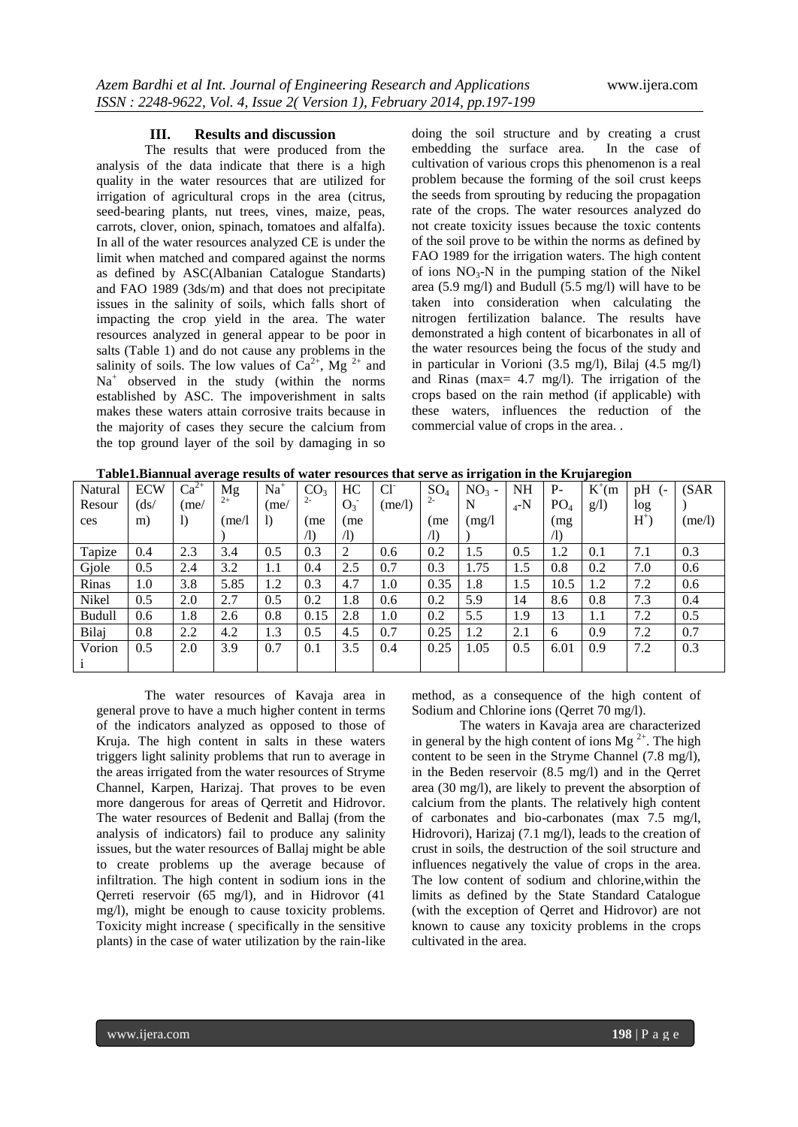#### **III. Results and discussion**

The results that were produced from the analysis of the data indicate that there is a high quality in the water resources that are utilized for irrigation of agricultural crops in the area (citrus, seed-bearing plants, nut trees, vines, maize, peas, carrots, clover, onion, spinach, tomatoes and alfalfa). In all of the water resources analyzed CE is under the limit when matched and compared against the norms as defined by ASC(Albanian Catalogue Standarts) and FAO 1989 (3ds/m) and that does not precipitate issues in the salinity of soils, which falls short of impacting the crop yield in the area. The water resources analyzed in general appear to be poor in salts (Table 1) and do not cause any problems in the salinity of soils. The low values of  $Ca^{2+}$ , Mg<sup>2+</sup> and Na<sup>+</sup> observed in the study (within the norms established by ASC. The impoverishment in salts makes these waters attain corrosive traits because in the majority of cases they secure the calcium from the top ground layer of the soil by damaging in so doing the soil structure and by creating a crust embedding the surface area. In the case of cultivation of various crops this phenomenon is a real problem because the forming of the soil crust keeps the seeds from sprouting by reducing the propagation rate of the crops. The water resources analyzed do not create toxicity issues because the toxic contents of the soil prove to be within the norms as defined by FAO 1989 for the irrigation waters. The high content of ions  $NO<sub>3</sub>-N$  in the pumping station of the Nikel area (5.9 mg/l) and Budull  $(5.5 \text{ mg/l})$  will have to be taken into consideration when calculating the nitrogen fertilization balance. The results have demonstrated a high content of bicarbonates in all of the water resources being the focus of the study and in particular in Vorioni (3.5 mg/l), Bilaj (4.5 mg/l) and Rinas (max= 4.7 mg/l). The irrigation of the crops based on the rain method (if applicable) with these waters, influences the reduction of the commercial value of crops in the area. .

| Table1.Biannual average results of water resources that serve as irrigation in the Krujaregion |  |
|------------------------------------------------------------------------------------------------|--|
|                                                                                                |  |

| <u>raoichdhannain a ceige resans or water resources mac serve as n'rigamon in me rirajaregion</u> |                |                  |        |                  |                 |            |                |            |         |         |                 |            |         |        |
|---------------------------------------------------------------------------------------------------|----------------|------------------|--------|------------------|-----------------|------------|----------------|------------|---------|---------|-----------------|------------|---------|--------|
| Natural                                                                                           | <b>ECW</b>     | $Ca^{2+}$        | Mg     | $Na+$            | CO <sub>3</sub> | HС         | $Cl^{\dagger}$ | $SO_4$     | $NO3$ - | NH      | $P-$            | $K^{+}(m)$ | pH<br>( | (SAR)  |
| Resour                                                                                            | $\frac{ds}{ }$ | (me)             | $2+$   | (me)             | $2 -$           | $O_3^-$    | (me/l)         | $2 -$      | N       | $_4$ -N | PO <sub>4</sub> | g(1)       | log     |        |
| ces                                                                                               | m)             | $\left( \right)$ | (me/l) | $\left( \right)$ | (me             | (me        |                | (me        | (mg/l)  |         | (mg)            |            | $H^+$   | (me/l) |
|                                                                                                   |                |                  |        |                  | $\sqrt{1}$      | $\sqrt{1}$ |                | $\sqrt{D}$ |         |         | $\sqrt{1}$      |            |         |        |
| Tapize                                                                                            | 0.4            | 2.3              | 3.4    | 0.5              | 0.3             | 2          | 0.6            | 0.2        | 1.5     | 0.5     | 1.2             | 0.1        | 7.1     | 0.3    |
| Gjole                                                                                             | 0.5            | 2.4              | 3.2    | 1.1              | 0.4             | 2.5        | 0.7            | 0.3        | 1.75    | 1.5     | 0.8             | 0.2        | 7.0     | 0.6    |
| Rinas                                                                                             | 1.0            | 3.8              | 5.85   | 1.2              | 0.3             | 4.7        | 1.0            | 0.35       | 1.8     | 1.5     | 10.5            | 1.2        | 7.2     | 0.6    |
| Nikel                                                                                             | 0.5            | 2.0              | 2.7    | 0.5              | 0.2             | 1.8        | 0.6            | 0.2        | 5.9     | 14      | 8.6             | 0.8        | 7.3     | 0.4    |
| <b>Budull</b>                                                                                     | 0.6            | 1.8              | 2.6    | 0.8              | 0.15            | 2.8        | 1.0            | 0.2        | 5.5     | 1.9     | 13              | 1.1        | 7.2     | 0.5    |
| Bilaj                                                                                             | 0.8            | 2.2              | 4.2    | 1.3              | 0.5             | 4.5        | 0.7            | 0.25       | 1.2     | 2.1     | 6               | 0.9        | 7.2     | 0.7    |
| Vorion                                                                                            | 0.5            | 2.0              | 3.9    | 0.7              | 0.1             | 3.5        | 0.4            | 0.25       | 1.05    | 0.5     | 6.01            | 0.9        | 7.2     | 0.3    |
|                                                                                                   |                |                  |        |                  |                 |            |                |            |         |         |                 |            |         |        |

The water resources of Kavaja area in general prove to have a much higher content in terms of the indicators analyzed as opposed to those of Kruja. The high content in salts in these waters triggers light salinity problems that run to average in the areas irrigated from the water resources of Stryme Channel, Karpen, Harizaj. That proves to be even more dangerous for areas of Qerretit and Hidrovor. The water resources of Bedenit and Ballaj (from the analysis of indicators) fail to produce any salinity issues, but the water resources of Ballaj might be able to create problems up the average because of infiltration. The high content in sodium ions in the Qerreti reservoir (65 mg/l), and in Hidrovor (41 mg/l), might be enough to cause toxicity problems. Toxicity might increase ( specifically in the sensitive plants) in the case of water utilization by the rain-like

method, as a consequence of the high content of Sodium and Chlorine ions (Qerret 70 mg/l).

The waters in Kavaja area are characterized in general by the high content of ions Mg<sup>2+</sup>. The high content to be seen in the Stryme Channel (7.8 mg/l), in the Beden reservoir (8.5 mg/l) and in the Qerret area (30 mg/l), are likely to prevent the absorption of calcium from the plants. The relatively high content of carbonates and bio-carbonates (max 7.5 mg/l, Hidrovori), Harizaj (7.1 mg/l), leads to the creation of crust in soils, the destruction of the soil structure and influences negatively the value of crops in the area. The low content of sodium and chlorine,within the limits as defined by the State Standard Catalogue (with the exception of Qerret and Hidrovor) are not known to cause any toxicity problems in the crops cultivated in the area.